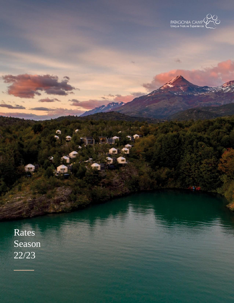

S

Rates Season 22/23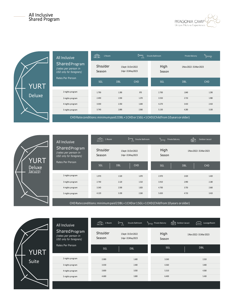### All Inclusive Shared Program



|               | All Inclusive                                                             | ⋒<br>1 Room                                                                                 |            | $\Gamma$                           | Ensuite Bathroom | Private Balcony         |            |  |  |
|---------------|---------------------------------------------------------------------------|---------------------------------------------------------------------------------------------|------------|------------------------------------|------------------|-------------------------|------------|--|--|
|               | <b>Shared Program</b><br>(rates per person in<br>USD only for foreigners) | Shoulder<br>Season                                                                          |            | 1Sept-31Oct2022<br>1Apr-31May 2023 | High<br>Season   | 1Nov 2022 - 31 Mar 2023 |            |  |  |
| YURT          | <b>Rates Per Person</b>                                                   | SGL                                                                                         | <b>DBL</b> | <b>CHD</b>                         | SGL              | <b>DBL</b>              | <b>CHD</b> |  |  |
| <b>Deluxe</b> | 2 nights program                                                          | 1.790                                                                                       | 1.390      | 970                                | 2.700            | 1.840                   | 1.290      |  |  |
|               | 3 nights program                                                          | 2.490                                                                                       | 1.930      | 1.370                              | 3.550            | 2.710                   | 1.980      |  |  |
|               | 4 nights program                                                          | 3.030                                                                                       | 2.350      | 1.640                              | 4.270            | 3.410                   | 2.410      |  |  |
|               | 5 nights program                                                          | 3.740                                                                                       | 2.890      | 2.060                              | 5.130            | 4.280                   | 3.100      |  |  |
|               |                                                                           | CHD Rate conditions: minimum paid 2DBL + 1CHD or 1SGL + 1CHD (Child from 10 years or older) |            |                                    |                  |                         |            |  |  |

2 nights program 1.970 1.970 1.520 1.520 1.070 2.970 2.970 2.020 2.020 1.420 3 nights program 2.740 2.120 1.510 3.910 2.990 2.180 4 nights program 3.340 2.590 1.820 4.700 3.750 2.660 5 nights program 4.120 3.190 2.260 5.650 4.710 3.410 **JRT** Deluxe Jacuzzi SGL DBL CHD SGL DBL CHD High 1Nov2022-31Mar2023 Season 1Sept-31Oct2022 1Apr-31May2023 Shoulder Season 1 Room **I** Ensuite Bathroom **Private Balcony** Butdoor Jacuzzi All Inclusive Shared Program *(rates per person in USD only for foreigners)* Rates Per Person

CHDRateconditions:minimumpaid2DBL+1CHDor1SGL+1CHD(Childfrom10years orolder)

|              | All Inclusive                                                      | ⋒<br>1 Room        | $\mathbb{H}$<br>Ensuite Bathroom   | Private Balcony | $\overbrace{1}^{\frac{16}{3}}$ Outdoor Jacuzzi<br>Lounge Room |
|--------------|--------------------------------------------------------------------|--------------------|------------------------------------|-----------------|---------------------------------------------------------------|
|              | Shared Program<br>(rates per person in<br>USD only for foreigners) | Shoulder<br>Season | 1Sept-31Oct2022<br>1Apr-31May 2023 | High<br>Season  | 1Nov 2022-31Mar 2023                                          |
| <b>YURT</b>  | Rates Per Person                                                   | SGL                | <b>DBL</b>                         | SGL             | <b>DBL</b>                                                    |
| <b>Suite</b> | 2 nights program                                                   | 2.080              | 1.600                              | 3.260           | 2.310                                                         |
|              | 3 nights program                                                   | 3.030              | 2.400                              | 4.360           | 3.400                                                         |
|              | 4 nights program                                                   | 3.800              | 3.050                              | 5.310           | 4.360                                                         |
|              | 5 nights program                                                   | 4.680              | 3.800                              | 6.400           | 5.430                                                         |
|              |                                                                    |                    |                                    |                 |                                                               |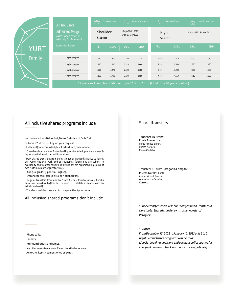|  |             | All Inclusive                                                      | m                  | 2 Connected Rooms | ⊫                                 | <b>EnsuiteBathroom</b> |                                                                                    | Private Balcony | Ť          | Outdoor Jacuzzi          |
|--|-------------|--------------------------------------------------------------------|--------------------|-------------------|-----------------------------------|------------------------|------------------------------------------------------------------------------------|-----------------|------------|--------------------------|
|  |             | Shared Program<br>(rates per person in<br>USD only for foreigners) | Shoulder<br>Season |                   | 1Sept-31Oct2022<br>1Apr-31May2023 |                        | High<br>Season                                                                     |                 |            | 1 Nov 2022 - 31 Mar 2023 |
|  | <b>YURT</b> | <b>Rates Per Person</b>                                            | <b>TPL</b>         | QDPL              | <b>DBL</b>                        | <b>CHD</b>             | <b>TPL</b>                                                                         | QDPL            | <b>DBL</b> | <b>CHD</b>               |
|  | Family      | 2 nights program                                                   | 1.520              | 1.300             | 1.520                             | 760                    | 2.020                                                                              | 1.710           | 2.020      | 1.010                    |
|  |             | 3 nights program                                                   | 2.120              | 1.820             | 2.120                             | 1.060                  | 2.990                                                                              | 2.540           | 2.990      | 1.490                    |
|  |             | 4 nights program                                                   | 2.590              | 2.270             | 2.590                             | 1.280                  | 3.750                                                                              | 3.280           | 3.750      | 1.880                    |
|  |             | 5 nights program                                                   | 3.190              | 2.790             | 3.190                             | 1.590                  | 4.710                                                                              | 4.110           | 4.710      | 2.360                    |
|  |             |                                                                    |                    |                   |                                   |                        | * Family Yurt conditions: Minimum paid 2 DBL+ 2 CHD (Child from 10 years or older) |                 |            |                          |

## All inclusive shared programs include

- Accommodation inDeluxeYurt,DeluxeYurt +Jacuzzi, SuiteYurt

or Family Yurt depending on your request.

- Fullboard(buffetbreakfast/lunchorboxlunch/menudinner).

- Open bar (house wines & standard liquors included; premium wines & liquors available withan additional cost).

- Daily shared excursions from our catalogue of included activities to Torres del Paine National Park and surroundings (excursions are subject to availability and weather conditions. Excursions are organized in groups of two Yurts minimum at guest arrival).

- Bilingual guides(Spanish / English).

- Entrance fee to Torres del Paine National Park.

- Regular transfers from and to Punta Arenas, Puerto Natales, Cancha Carrera or Cerro Castillo (transfer from and to El Calafate available with an additional cost).

- Transferschedules are subject to changes without prior notice.

### All inclusive shared programs don't include

### Sharedtransfers

Transfer IN From: PuntaArenas city Punta Arenas airport Puerto Natales Cerro Castillo

Transfer OUT from Patagonia Camp to: Puerto Natales Punta Arenas airport Punta Arenas city Cancha Carrera

*\*ChecktransferscheduleinourTransferinandTransferout time table.Sharedtransferswithother guests of Patagonia*

#### *\*\* Note:*

*FromDecember15,2022toJanuary15,2023only3to5 nightsAllinclusive programs will be sold. (Specialbooking conditionsandpaymentpolicyapplies for this peak season, check our cancellation policies).*

- Phone calls.

- Laundry.

- Premium liquors and wines.

- Any other wine alternatives differentfrom the house wine.

- Anyother items not mentioned or extras.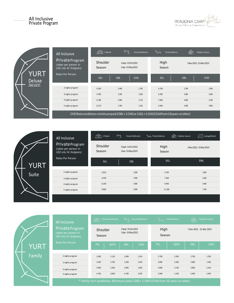



|                       | All Inclusive                                                       | ЩŲ<br>1 Room       | $\forall$  | Ensuite Bathroom                  | Private Balcony<br>$\smash{\smash{\smash{\smash{\sqcup}}\nolimits}}$                    | 屇          | Outdoor Jacuzzi      |
|-----------------------|---------------------------------------------------------------------|--------------------|------------|-----------------------------------|-----------------------------------------------------------------------------------------|------------|----------------------|
|                       | Private Program<br>(rates per person in<br>USD only for foreigners) | Shoulder<br>Season |            | 1Sept-31Oct2022<br>1Apr-31May2023 | High<br>Season                                                                          |            | 1Nov 2022-31Mar 2023 |
| YURT<br><b>Deluxe</b> | Rates Per Person                                                    | SGL                | <b>DBL</b> | <b>CHD</b>                        | SGL                                                                                     | <b>DBL</b> | <b>CHD</b>           |
| Jacuzzi               | 2 nights program                                                    | 4.100              | 2.490      | 1.790                             | 4.790                                                                                   | 2.790      | 1.990                |
|                       | 3 nights program                                                    | 5.490              | 3.290      | 2.300                             | 6.390                                                                                   | 3.890      | 2.690                |
|                       | 4 nights program                                                    | 6.780              | 3.990      | 2.710                             | 7.890                                                                                   | 4.890      | 3.290                |
|                       | 5 nights program                                                    | 8.170              | 4.790      | 3.220                             | 9.490                                                                                   | 5.990      | 3.990                |
|                       |                                                                     |                    |            |                                   | CHD Rate conditions: minimum paid 2DBL+1CHD or 1SGL+1CHD (Child from 10 years or older) |            |                      |

|              | All Inclusive                                                       | ⊯<br>1 Room        | $\mathbb{F}_{\mathbb{Z}}$<br>Ensuite Bathroom | Private Balcony | Lounge Room<br>Ō<br>Outdoor Jacuzzi |
|--------------|---------------------------------------------------------------------|--------------------|-----------------------------------------------|-----------------|-------------------------------------|
|              | Private Program<br>(rates per person in<br>USD only for foreigners) | Shoulder<br>Season | 1Sept-31Oct2022<br>1Apr-31May2023             | High<br>Season  | 1Nov 2022 - 31 Mar 2023             |
| <b>YURT</b>  | Rates Per Person                                                    | SGL                | <b>DBL</b>                                    | SGL             | <b>DBL</b>                          |
| <b>Suite</b> | 2 nights program                                                    | 4.920              | 2.990                                         | 5.790           | 3.390                               |
|              | 3 nights program                                                    | 6.590              | 3.990                                         | 7.690           | 4.690                               |
|              | 4 nights program                                                    | 8.190              | 4.890                                         | 9.490           | 5.890                               |
|              | 5 nights program                                                    | 9.860              | 5.890                                         | 11.390          | 7.190                               |
|              |                                                                     |                    |                                               |                 |                                     |

|             | All Inclusive                                                       | m                  | 2 Connected Rooms | $\mapsto$<br>△                    | Ensuite Bathroom |                | Private Balcony                                                                                                                                                                                                                                                        | Ò          | Outdoor Jacuzzi          |
|-------------|---------------------------------------------------------------------|--------------------|-------------------|-----------------------------------|------------------|----------------|------------------------------------------------------------------------------------------------------------------------------------------------------------------------------------------------------------------------------------------------------------------------|------------|--------------------------|
|             | Private Program<br>(rates per person in<br>USD only for foreigners) | Shoulder<br>Season |                   | 1Sept-31Oct2022<br>1Apr-31May2023 |                  | High<br>Season |                                                                                                                                                                                                                                                                        |            | 1 Nov 2022 - 31 Mar 2023 |
| <b>YURT</b> | <b>Rates Per Person</b>                                             | <b>TPL</b>         | QDPL              | <b>DBL</b>                        | <b>CHD</b>       | <b>TPL</b>     | QDPL                                                                                                                                                                                                                                                                   | <b>DBL</b> | <b>CHD</b>               |
| Family      | 2 nights program                                                    | 2.490              | 2.120             | 2.490                             | 1.245            | 2.790          | 2.390                                                                                                                                                                                                                                                                  | 2.790      | 1.395                    |
|             | 3 nights program                                                    | 3.290              | 2.790             | 3.290                             | 1.645            | 3.890          | 3.300                                                                                                                                                                                                                                                                  | 3.890      | 1.945                    |
|             | 4 nights program                                                    | 3.990              | 3.390             | 3.990                             | 1.995            | 4.890          | 4.190                                                                                                                                                                                                                                                                  | 4.890      | 2.445                    |
|             | 5 nights program                                                    | 4.790              | 4.060             | 4.790                             | 2.395            | 5.990          | 5.100                                                                                                                                                                                                                                                                  | 5.990      | 2.995                    |
|             |                                                                     |                    |                   |                                   |                  |                | $\Phi = -9.3t + 1.1t + 1.1t + 1.1t + 1.1t + 1.1t + 1.1t + 1.1t + 1.1t + 1.1t + 1.1t + 1.1t + 1.1t + 1.1t + 1.1t + 1.1t + 1.1t + 1.1t + 1.1t + 1.1t + 1.1t + 1.1t + 1.1t + 1.1t + 1.1t + 1.1t + 1.1t + 1.1t + 1.1t + 1.1t + 1.1t + 1.1t + 1.1t + 1.1t + 1.1t + 1.1t + $ |            |                          |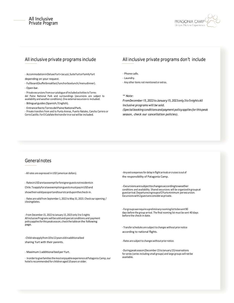### All Inclusive Private Program



- AccommodationinDeluxeYurt+Jacuzzi,SuiteYurtorFamilyYurt

depending on your request.

- Fullboard(buffetbreakfast/lunchorboxlunch/menudinner).

- Open bar.

- Private excursionsfromour catalogue of included activitiestoTorres del Paine National Park and surroundings (excursions are subject to availability and weather conditions). One external excursion is included.

- Bilingual guides(Spanish/English).
- EntrancefeetoTorresdelPaineNationalPark.

- Private transfers from and to Punta Arenas, Puerto Natales, Cancha Carrera or Cerro Castillo. ForEl Calafate the transferin or out will be included.

### All inclusive private programs include All inclusive private programs don't include

- Phone calls.

- Laundry.
- Any other items not mentioned or extras.

*\*\* Note:*

*FromDecember15,2022toJanuary15,2023only3to5nightsAll inclusive programs will be sold.*

*(Specialbookingconditionsandpaymentpolicyapplies for thispeak season, check our cancellation policies).*

### Generalnotes

- RatesinUSDaretaxexemptforforeignerguestsnotresidentsin Chile.ToapplyforataxexemptionguestsmustpayinUSDand showtheirvalidpassportandtouristcarduponthecheck-in.

- Rates are valid from September 1, 2022 to May 31, 2023. Check our opening / closingdates.

- From December 15, 2022 to January 15, 2023 only 3 to 5 nights AllInclusivePrograms will besold andspecial conditions and payment policyappliesforthispeakseason,checkthetableon the following page.

-Childrateapplyfrom10to12yearsoldinadditionalbed sharing Yurt with their parents.  $\blacksquare$ 

- Maximum 1 additional bed per Yurt.

- Inordertogivefamiliesthemostenjoyableexperience atPatagonia Camp, our hotel is recommended for children aged 10 years or older.

- All rates are expressed in USD (american dollars). Here are a strategies to the strategies of delay in flight arrivals or cruises is out of the responsibility of Patagonia Camp.

> -Excursionsaresubjecttochangesaccordingtoweather conditions and availability. Shared excursions will be organizedin groupsat guestarrival.Departuresingroupsof2Yurtsminimum perexcursion. Excursionswith2guestareconsideras private.

-Forgroupswerequireapreliminaryroominglisttobesent90 days before the group arrival. The final rooming list must be sent 40 days before the check in date.

- Transfer schedules are subject to changes without prior notice according to national flights.

-Duringpeakseason(December15toJanuary15)reservations forseries (series including small groups) and large groups will not be available.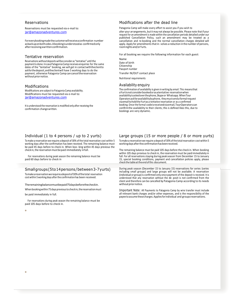#### Reservations

Reservations must be requested via e-mail to: [jar@amazonadventures.com](mailto:jar@amazonadventures.com)

Foreverybookingmadethecustomerwillreceiveaconfirmation number asbackuponbothsides.Abookingisunderstoodas confirmedonly afterreceivingawrittenconfirmation.

#### Tentative reservation

Reservations without depositswillbeconsider as"tentative" until the paymentis done. IncasePatagonia Camp receives enquiries for the same dates of the "tentative" booking, we will get in contactwiththeclientto askforthedeposit,andtheclientwill have 5 working days to do the payment, otherwise Patagonia Camp can cancelthereservation without priornotice.

#### Modifications

ó

Modifications are subject to Patagonia Camp availability. Modifications must be requested via e-mail to: [jar@amazonadventures.com](mailto:jar@amazonadventures.com)

It is understood the reservation is modified only after receiving the confirmation change written.

#### Modifications after the dead line

Patagonia Camp will make every effort to assist you if you wish to

alter your arrangements, but it may not always be possible. Please note that if your request for an amendment is made within the cancellation periods detailed under our published Cancellation Policy, such an amendment may be treated as a cancellation and re-booking and the normal cancellation charges detailed will apply. Apply for amendments thatin- volves a reduction in the number of persons, roomnights and/orYurts.

For all booking we require the following information for each guest:

Name Date of birth Citizenship Passport number Transfer IN/OUT contact place

Nutritional requirements

#### Availability enquiry

The confirmation of availability is given in writing by email. This meansthat aYurtisnotconsiderbookedorasatentative reservationwhen availabilityisaskedoverthephone,Skypeor Whatsapp.WhenTour Operatorsaskforavailabilitybyphone, theymustsenda formalrequest viaemailtoholdtheYurtas a tentative reservation or as a confirmed booking. Once the formal codeisreceivedviaemail,TourOperatorscan confirmthe availability to their clients; this is defined likes this, due to bookings are very dynamic.

#### Individual (1 to 4 persons / up to 2 yurts)

To make a reservation we require a deposit of 30% of the total reservation cost within 5 working days after the confirmation has been received. The remaining balance must be paid 45 days before to check in. When boo- king within 45 days previous the check in, the reservation must be paid immediately infull.

For reservations during peak season the remaining balance must be paid 60 days before to check in

#### Smallgroups(5to14persons/between3-7yurts)

Tomake areservationwerequireadepositof30%ofthetotal reservation cost within 5working days afterthe confirmation has been received.

Theremainingbalancemustbepaid75daysbeforethecheckin.

Whenbookingwithin75 days previoustocheckin,thereservationmust be paid immediately in full.

For reservations during peak season the remaining balance must be paid 105 days before to check in.

#### Large groups (15 or more people / 8 or more yurts)

To make a reservation we require a deposit of 30% of the total reservation cost within 5 workingdays aftertheconfirmationhas beenreceived.

The remaining balance must be paid 105 days before the check in. When booking within 105 days previous to check in, the reservation must be paid immediately in full. For all reservations staying during peak season from December 15 to January 15, special booking conditions, payment and cancellation policies apply, please check the tableattheend ofthis document.

During peak season (December 15 to January 15) reservations for series (series including small groups) and large groups will not be available. A reservation (individual or group) is confirmed only once payment of the deposit is received. It is understood that any reservation without the de- posit is not confirmed from the client and therefore can be cancelled by Patagonia Camp according to its needs without priornotice.

Important Note: All Payments to Patagonia Camp by wire transfer must include all relevant bank charges and/or other expenses, and is the responsibility of the payee toassume thesecharges.Appliesforindividual and groupsreservations.